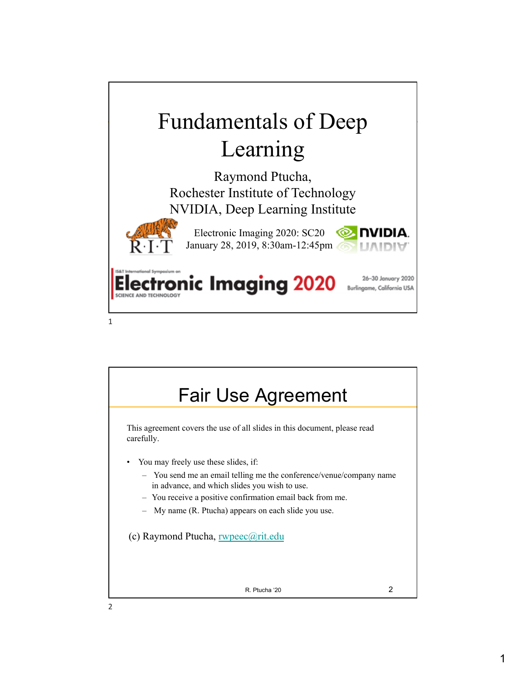

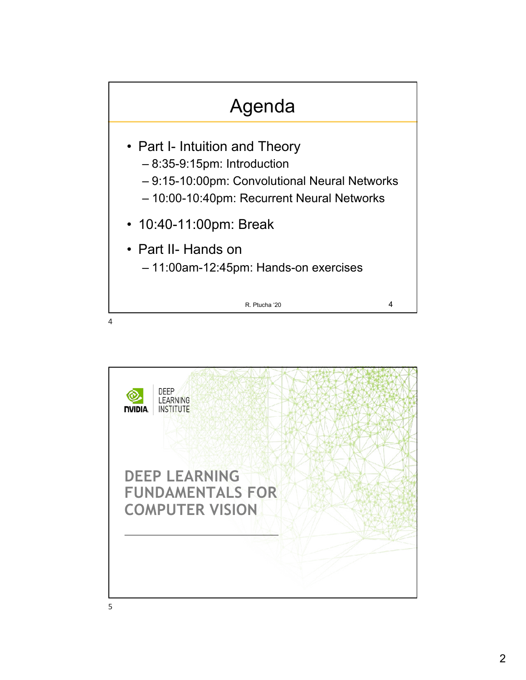

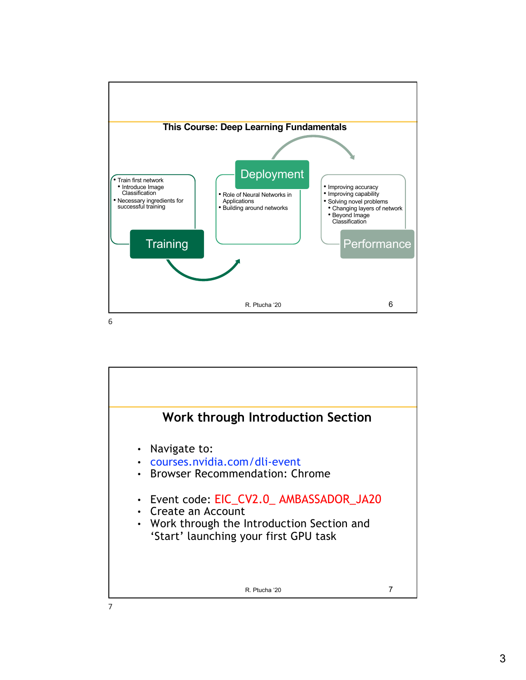

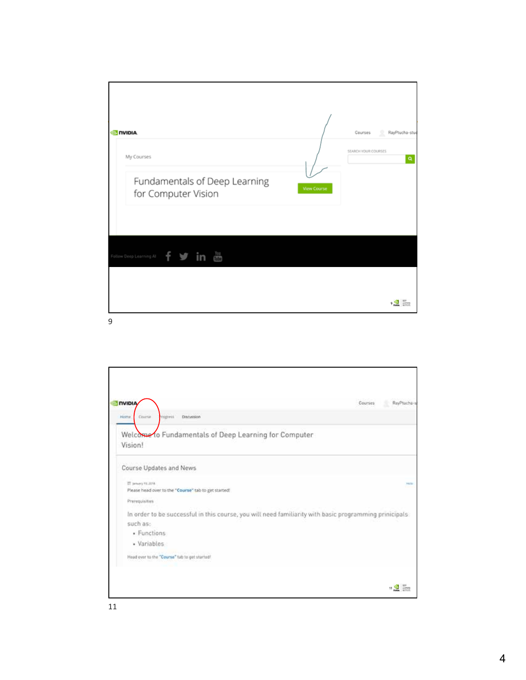| <b>ONIDIA</b>                                                      |                    | RayPtucha-stu<br>Courses<br>2. |
|--------------------------------------------------------------------|--------------------|--------------------------------|
| My Courses<br>Fundamentals of Deep Learning<br>for Computer Vision | <b>View Course</b> | SEARCH YOUR COURSES<br>Q       |
| $rac{Y_{00}}{1000}$<br>f<br>in<br>Follow Deep Learning Al          |                    |                                |
|                                                                    |                    | 9 <b>FOR STREET</b>            |

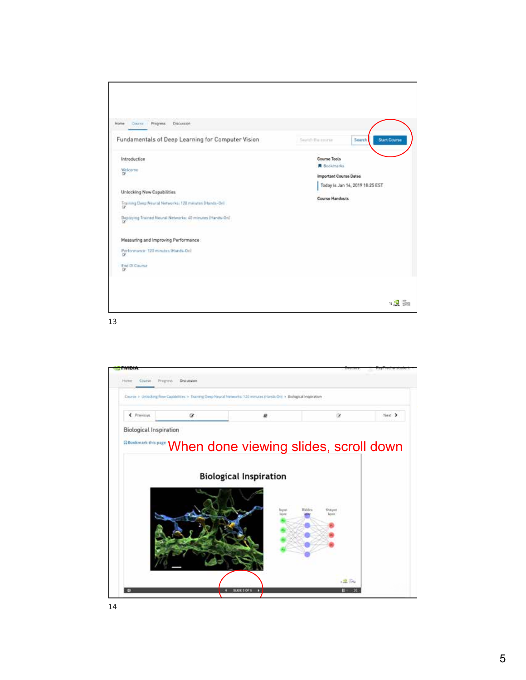



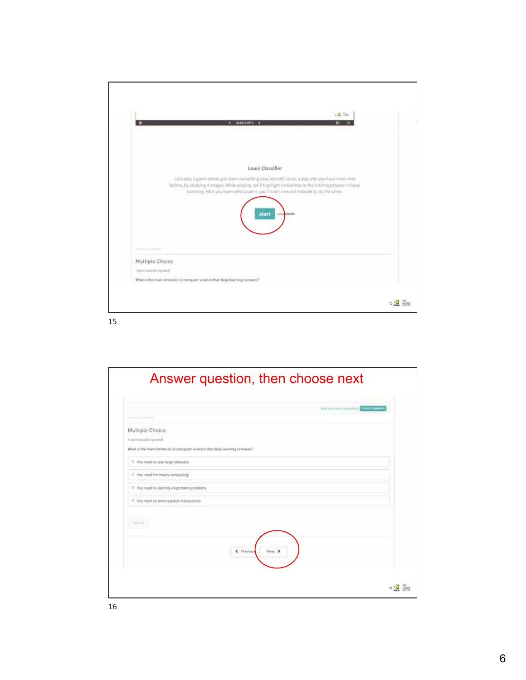

|                                                                             |                      | This was not a pumphing.<br>and it figures |
|-----------------------------------------------------------------------------|----------------------|--------------------------------------------|
| of the Transmission                                                         |                      |                                            |
| Multiple Choice                                                             |                      |                                            |
| Future I additional fresh. F                                                |                      |                                            |
| What is the main limitation of computer science that deep learning removes? |                      |                                            |
| If the need to use large datasets.                                          |                      |                                            |
| <sup>6</sup> the need for heavy computing                                   |                      |                                            |
| (i) the need to identify important problems.                                |                      |                                            |
| <sup>D</sup> the need to write explicit instructions                        |                      |                                            |
|                                                                             |                      |                                            |
|                                                                             |                      |                                            |
|                                                                             |                      |                                            |
|                                                                             | C Previous<br>Next > |                                            |
|                                                                             |                      |                                            |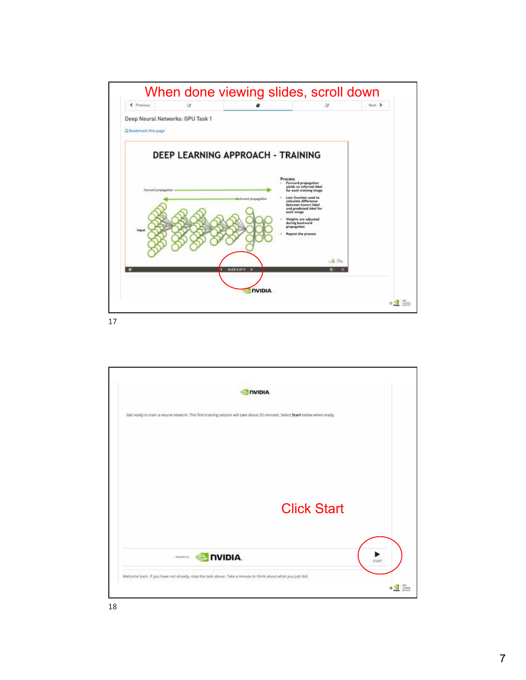

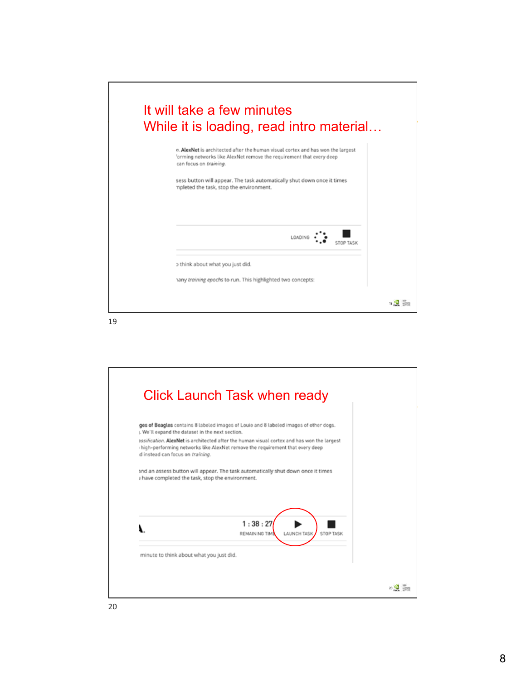

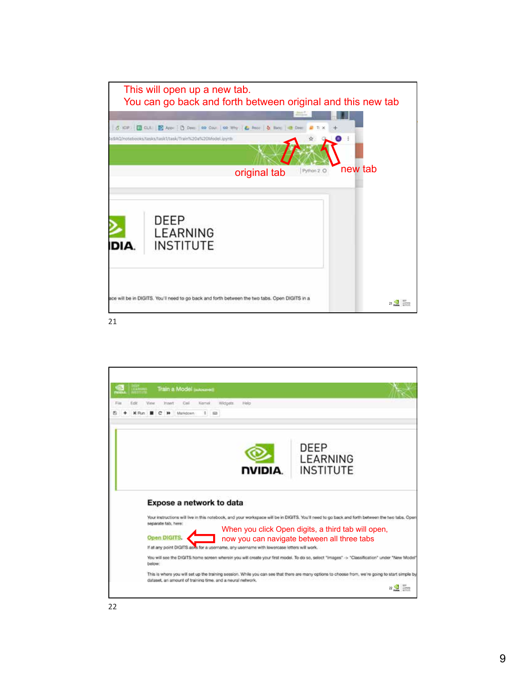

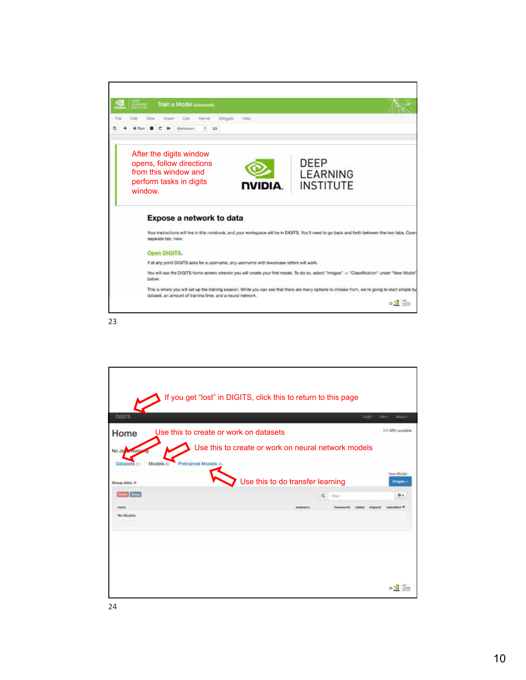| Karnel<br>Edit<br>Widgets.<br>Heig<br>Call<br>Markdown<br>After the digits window<br>DEEP<br>opens, follow directions<br>from this window and<br>LEARNING<br>perform tasks in digits<br><b>INSTITUTE</b><br><b>NVIDIA.</b><br>window.<br>Expose a network to data<br>Your instructions will live in this notebook, and your workspace will be in DIGITS. You'll need to go back and forth between the two tabs. Open<br>separate tab, here:<br>Open DIGITS.<br>If at any point DIGITS asks for a username, any username with lowercase letters will work.<br>You will see the DIGITS home screen wherein you will create your first model. To do so, select "images" -> "Classification" under "New Model"<br>below:<br>This is where you will set up the training session. While you can see that there are many options to choose from, we're going to start simple by |                         |  |
|--------------------------------------------------------------------------------------------------------------------------------------------------------------------------------------------------------------------------------------------------------------------------------------------------------------------------------------------------------------------------------------------------------------------------------------------------------------------------------------------------------------------------------------------------------------------------------------------------------------------------------------------------------------------------------------------------------------------------------------------------------------------------------------------------------------------------------------------------------------------------|-------------------------|--|
|                                                                                                                                                                                                                                                                                                                                                                                                                                                                                                                                                                                                                                                                                                                                                                                                                                                                          | Train a Model juicement |  |
|                                                                                                                                                                                                                                                                                                                                                                                                                                                                                                                                                                                                                                                                                                                                                                                                                                                                          |                         |  |
|                                                                                                                                                                                                                                                                                                                                                                                                                                                                                                                                                                                                                                                                                                                                                                                                                                                                          |                         |  |
|                                                                                                                                                                                                                                                                                                                                                                                                                                                                                                                                                                                                                                                                                                                                                                                                                                                                          |                         |  |
|                                                                                                                                                                                                                                                                                                                                                                                                                                                                                                                                                                                                                                                                                                                                                                                                                                                                          |                         |  |
|                                                                                                                                                                                                                                                                                                                                                                                                                                                                                                                                                                                                                                                                                                                                                                                                                                                                          |                         |  |
|                                                                                                                                                                                                                                                                                                                                                                                                                                                                                                                                                                                                                                                                                                                                                                                                                                                                          |                         |  |
|                                                                                                                                                                                                                                                                                                                                                                                                                                                                                                                                                                                                                                                                                                                                                                                                                                                                          |                         |  |
|                                                                                                                                                                                                                                                                                                                                                                                                                                                                                                                                                                                                                                                                                                                                                                                                                                                                          |                         |  |
| dataset, an amount of training time, and a neural network.                                                                                                                                                                                                                                                                                                                                                                                                                                                                                                                                                                                                                                                                                                                                                                                                               |                         |  |
| $23\frac{1}{2}$<br>LLARNING                                                                                                                                                                                                                                                                                                                                                                                                                                                                                                                                                                                                                                                                                                                                                                                                                                              |                         |  |

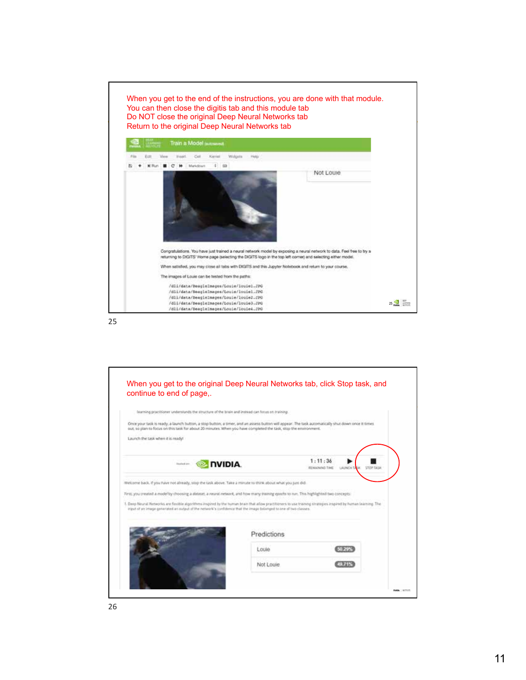

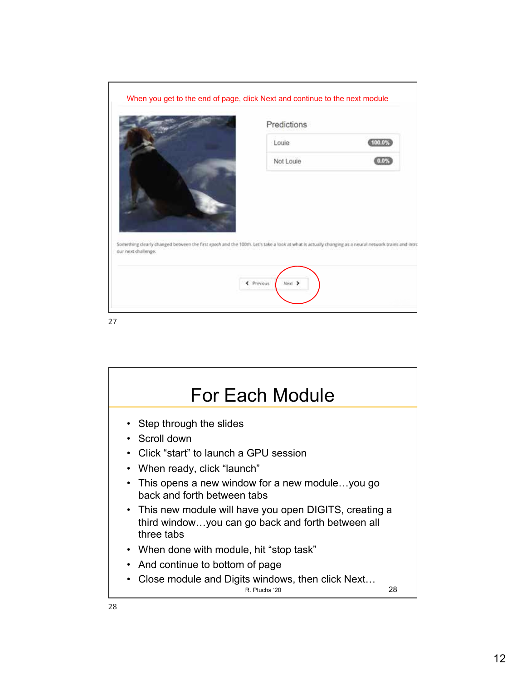